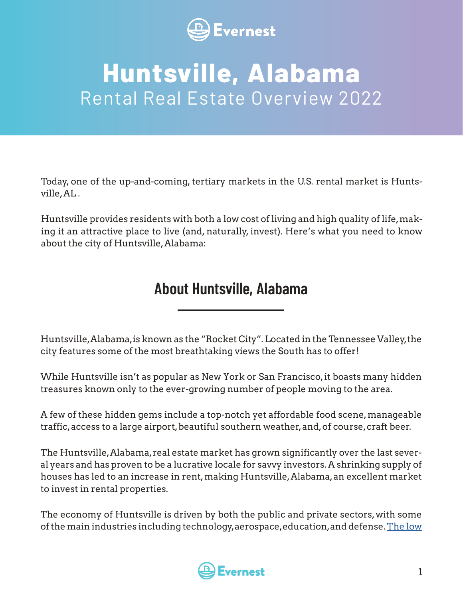

### **Huntsville, Alabama**  Rental Real Estate Overview 2022

Today, one of the up-and-coming, tertiary markets in the U.S. rental market is Huntsville, AL .

Huntsville provides residents with both a low cost of living and high quality of life, making it an attractive place to live (and, naturally, invest). Here's what you need to know about the city of Huntsville, Alabama:

#### **About Huntsville, Alabama**

Huntsville, Alabama, is known as the "Rocket City". Located in the Tennessee Valley, the city features some of the most breathtaking views the South has to offer!

While Huntsville isn't as popular as New York or San Francisco, it boasts many hidden treasures known only to the ever-growing number of people moving to the area.

A few of these hidden gems include a top-notch yet affordable food scene, manageable traffic, access to a large airport, beautiful southern weather, and, of course, craft beer.

The Huntsville, Alabama, real estate market has grown significantly over the last several years and has proven to be a lucrative locale for savvy investors. A shrinking supply of houses has led to an increase in rent, making Huntsville, Alabama, an excellent market to invest in rental properties.

The economy of Huntsville is driven by both the public and private sectors, with some of the main industries including technology, aerospace, education, and defense. [The low](https://huntsvillebusinessjournal.com/lead/2021/07/13/huntsville-gets-top-rankings-in-u-s-news-and-world-report/)

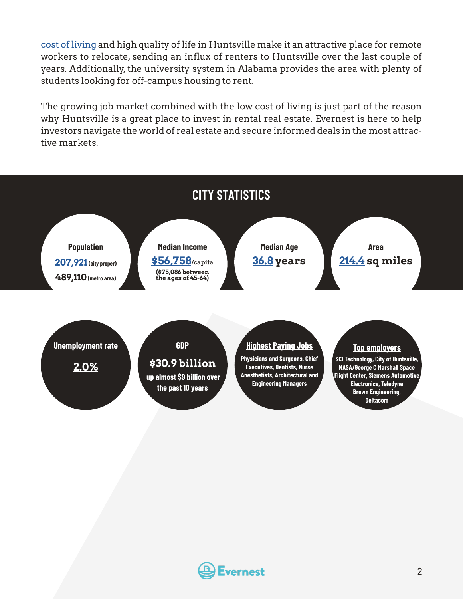[cost of living](https://huntsvillebusinessjournal.com/lead/2021/07/13/huntsville-gets-top-rankings-in-u-s-news-and-world-report/) and high quality of life in Huntsville make it an attractive place for remote workers to relocate, sending an influx of renters to Huntsville over the last couple of years. Additionally, the university system in Alabama provides the area with plenty of students looking for off-campus housing to rent.

The growing job market combined with the low cost of living is just part of the reason why Huntsville is a great place to invest in rental real estate. Evernest is here to help investors navigate the world of real estate and secure informed deals in the most attractive markets.



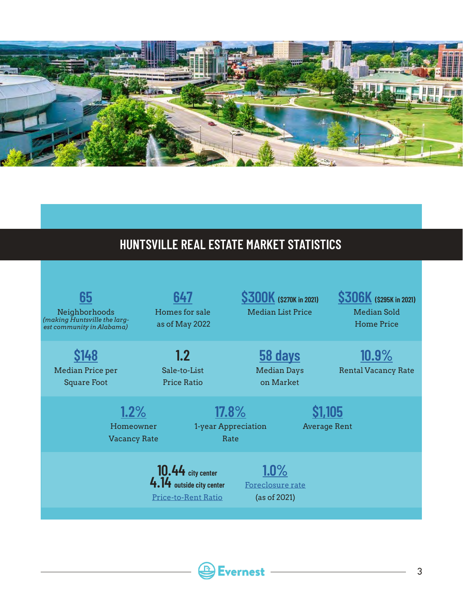

#### **HUNTSVILLE REAL ESTATE MARKET STATISTICS**

| 65<br>Neighborhoods<br>(making Huntsville the larg-<br>est community in Alabama)                                                                            | 647<br>Homes for sale<br>as of May 2022                        |                                 | <b>S300K</b> (\$270K in 2021)<br>Median List Price | <b>\$306K</b> (\$295K in 2021)<br>Median Sold<br><b>Home Price</b>             |
|-------------------------------------------------------------------------------------------------------------------------------------------------------------|----------------------------------------------------------------|---------------------------------|----------------------------------------------------|--------------------------------------------------------------------------------|
| <b>S148</b><br>Median Price per<br><b>Square Foot</b>                                                                                                       | 1.2<br>Sale-to-List<br><b>Price Ratio</b><br>1.2%<br>Homeowner | $17.8\%$<br>1-year Appreciation | <b>58 days</b><br><b>Median Days</b><br>on Market  | $10.9\%$<br><b>Rental Vacancy Rate</b><br><b>S1,105</b><br><b>Average Rent</b> |
| <b>Vacancy Rate</b><br>Rate<br>$1.0\%$<br>$10.44$ city center<br>4.14 outside city center<br>Foreclosure rate<br><b>Price-to-Rent Ratio</b><br>(as of 2021) |                                                                |                                 |                                                    |                                                                                |

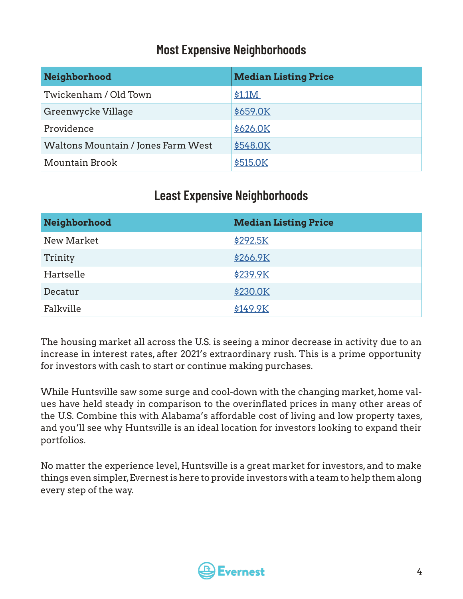#### **Most Expensive Neighborhoods**

| Neighborhood                       | <b>Median Listing Price</b> |
|------------------------------------|-----------------------------|
| Twickenham / Old Town              | \$1.1M                      |
| Greenwycke Village                 | \$659.0K                    |
| Providence                         | \$626.0K                    |
| Waltons Mountain / Jones Farm West | \$548.0K                    |
| Mountain Brook                     | \$515.0K                    |

#### **Least Expensive Neighborhoods**

| Neighborhood | <b>Median Listing Price</b> |
|--------------|-----------------------------|
| New Market   | \$292.5K                    |
| Trinity      | \$266.9K                    |
| Hartselle    | \$239.9K                    |
| Decatur      | <b>\$230.0K</b>             |
| Falkville    | \$149.9K                    |

The housing market all across the U.S. is seeing a minor decrease in activity due to an increase in interest rates, after 2021's extraordinary rush. This is a prime opportunity for investors with cash to start or continue making purchases.

While Huntsville saw some surge and cool-down with the changing market, home values have held steady in comparison to the overinflated prices in many other areas of the U.S. Combine this with Alabama's affordable cost of living and low property taxes, and you'll see why Huntsville is an ideal location for investors looking to expand their portfolios.

No matter the experience level, Huntsville is a great market for investors, and to make things even simpler, Evernest is here to provide investors with a team to help them along every step of the way.

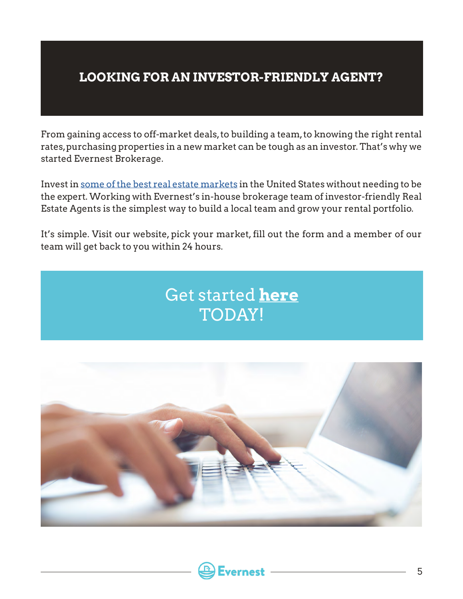#### **LOOKING FOR AN INVESTOR-FRIENDLY AGENT?**

From gaining access to off-market deals, to building a team, to knowing the right rental rates, purchasing properties in a new market can be tough as an investor. That's why we started Evernest Brokerage.

Invest in [some of the best real estate markets](https://www.evernest.co/locations/) in the United States without needing to be the expert. Working with Evernest's in-house brokerage team of investor-friendly Real Estate Agents is the simplest way to build a local team and grow your rental portfolio.

It's simple. Visit our website, pick your market, fill out the form and a member of our team will get back to you within 24 hours.





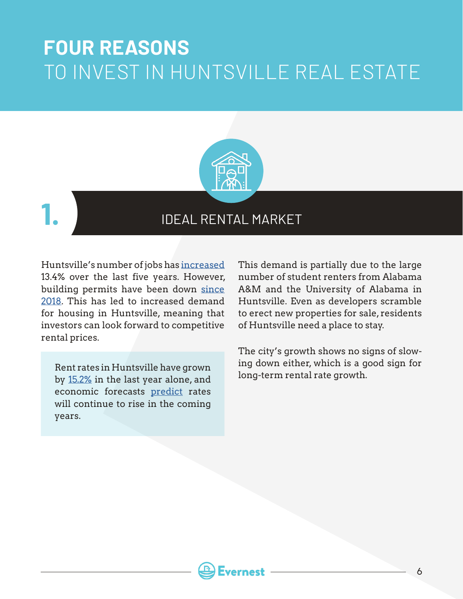### **FOUR REASONS** TO INVEST IN HUNTSVILLE REAL ESTATE





#### IDEAL RENTAL MARKET

Huntsville's number of jobs has [increased](https://www.millionacres.com/real-estate-market/articles/7-smaller-towns-worth-your-investment-dollars/) 13.4% over the last five years. However, building permits have been down [since](https://www.millionacres.com/real-estate-market/articles/affordable-housing-crisis-and-opportunity-it-presents-real-estate-investors/) [2018](https://www.millionacres.com/real-estate-market/articles/affordable-housing-crisis-and-opportunity-it-presents-real-estate-investors/). This has led to increased demand for housing in Huntsville, meaning that investors can look forward to competitive rental prices.

Rent rates in Huntsville have grown and the down entitled, which is a good have grown that the local part of the local rate growth. by [15.2%](https://www.point2homes.com/US/Average-Rent/AL/Huntsville.html) in the last year alone, and economic forecasts [predict](https://www.noradarealestate.com/blog/huntsville-al-real-estate/) rates will continue to rise in the coming years.

This demand is partially due to the large number of student renters from Alabama A&M and the University of Alabama in Huntsville. Even as developers scramble to erect new properties for sale, residents of Huntsville need a place to stay.

The city's growth shows no signs of slowing down either, which is a good sign for

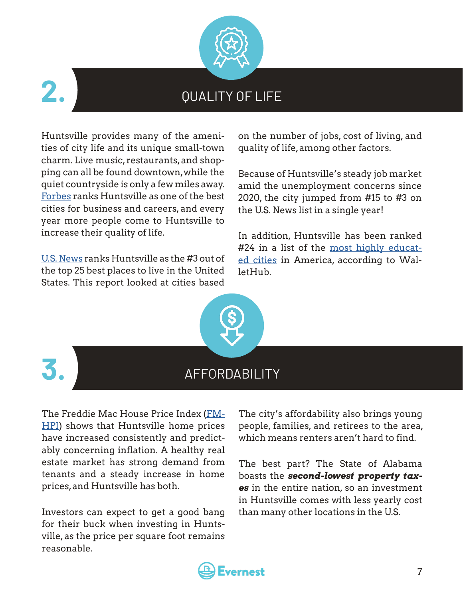

# **2.**

#### QUALITY OF LIFE

Huntsville provides many of the amenities of city life and its unique small-town charm. Live music, restaurants, and shopping can all be found downtown, while the quiet countryside is only a few miles away. [Forbes](https://www.forbes.com/places/al/huntsville/?sh=75bba5e4c300) ranks Huntsville as one of the best cities for business and careers, and every year more people come to Huntsville to increase their quality of life.

[U.S. News](https://realestate.usnews.com/real-estate/slideshows/25-best-places-to-live-in-the-us?slide=24) ranks Huntsville as the #3 out of the top 25 best places to live in the United States. This report looked at cities based

on the number of jobs, cost of living, and quality of life, among other factors.

Because of Huntsville's steady job market amid the unemployment concerns since 2020, the city jumped from #15 to #3 on the U.S. News list in a single year!

In addition, Huntsville has been ranked #24 in a list of the [most highly educat](https://wallethub.com/edu/e/most-and-least-educated-cities/6656)[ed cities](https://wallethub.com/edu/e/most-and-least-educated-cities/6656) in America, according to WalletHub.



# **3.**

#### AFFORDABILITY

The Freddie Mac House Price Index [\(FM-](http://www.freddiemac.com/research/indices/house-price-index.page)[HPI\)](http://www.freddiemac.com/research/indices/house-price-index.page) shows that Huntsville home prices have increased consistently and predictably concerning inflation. A healthy real estate market has strong demand from tenants and a steady increase in home prices, and Huntsville has both.

Investors can expect to get a good bang for their buck when investing in Huntsville, as the price per square foot remains reasonable.

The city's affordability also brings young people, families, and retirees to the area, which means renters aren't hard to find.

The best part? The State of Alabama boasts the *second-lowest property taxes* in the entire nation, so an investment in Huntsville comes with less yearly cost than many other locations in the U.S.

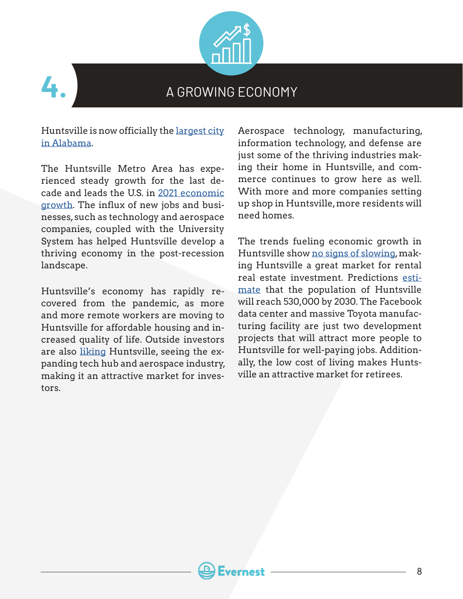



#### A GROWING ECONOMY

Huntsville is now officially the [largest city](https://worldpopulationreview.com/states/cities/alabama)  [in Alabama.](https://worldpopulationreview.com/states/cities/alabama)

The Huntsville Metro Area has experienced steady growth for the last decade and leads the U.S. in [2021 economic](https://hsvchamber.org/huntsville-leads-the-u-s-in-2021-economic-growth/)  [growth](https://hsvchamber.org/huntsville-leads-the-u-s-in-2021-economic-growth/). The influx of new jobs and businesses, such as technology and aerospace companies, coupled with the University System has helped Huntsville develop a thriving economy in the post-recession landscape.

Huntsville's economy has rapidly recovered from the pandemic, as more and more remote workers are moving to Huntsville for affordable housing and increased quality of life. Outside investors are also [liking](https://www.al.com/news/2021/08/report-huntsville-leads-nation-in-economic-recovery.html) Huntsville, seeing the expanding tech hub and aerospace industry, making it an attractive market for investors.

Aerospace technology, manufacturing, information technology, and defense are just some of the thriving industries making their home in Huntsville, and commerce continues to grow here as well. With more and more companies setting up shop in Huntsville, more residents will need homes.

The trends fueling economic growth in Huntsville show [no signs of slowing,](https://www.madeinalabama.com/2020/01/6-trends-fueling-alabamas-economic-growth-in-2020-and-beyond/) making Huntsville a great market for rental real estate investment. Predictions [esti](https://hsvchamber.org/wp-content/uploads/2019/02/2019-Economic-Outlook-Huntsville-Metro-Area.pdf)[mate](https://hsvchamber.org/wp-content/uploads/2019/02/2019-Economic-Outlook-Huntsville-Metro-Area.pdf) that the population of Huntsville will reach 530,000 by 2030. The Facebook data center and massive Toyota manufacturing facility are just two development projects that will attract more people to Huntsville for well-paying jobs. Additionally, the low cost of living makes Huntsville an attractive market for retirees.

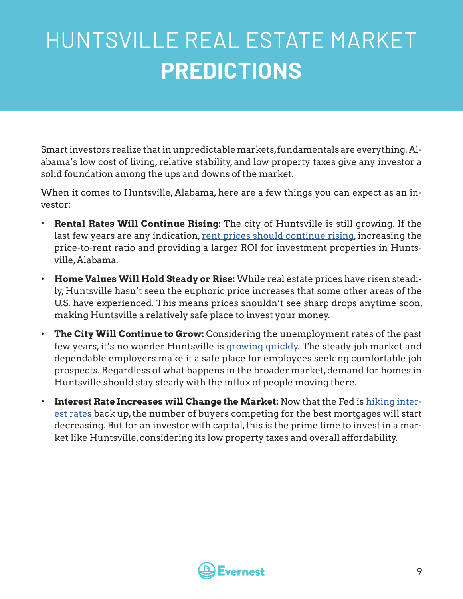## HUNTSVILLE REAL ESTATE MARKET **PREDICTIONS**

Smart investors realize that in unpredictable markets, fundamentals are everything. Alabama's low cost of living, relative stability, and low property taxes give any investor a solid foundation among the ups and downs of the market.

When it comes to Huntsville, Alabama, here are a few things you can expect as an investor:

- **Rental Rates Will Continue Rising:** The city of Huntsville is still growing. If the last few years are any indication, [rent prices should continue rising](https://www.rocketcitynow.com/article/news/local/huntsville-housing-prices-apartments/525-ed4acebd-e37b-497b-bbf9-68aff7e7cdb3), increasing the price-to-rent ratio and providing a larger ROI for investment properties in Huntsville, Alabama.
- **Home Values Will Hold Steady or Rise:** While real estate prices have risen steadily, Huntsville hasn't seen the euphoric price increases that some other areas of the U.S. have experienced. This means prices shouldn't see sharp drops anytime soon, making Huntsville a relatively safe place to invest your money.
- **The City Will Continue to Grow:** Considering the unemployment rates of the past few years, it's no wonder Huntsville is [growing quickly.](https://hsvchamber.org/huntsville-leads-the-u-s-in-2021-economic-growth/) The steady job market and dependable employers make it a safe place for employees seeking comfortable job prospects. Regardless of what happens in the broader market, demand for homes in Huntsville should stay steady with the influx of people moving there.
- **Interest Rate Increases will Change the Market:** Now that the Fed is [hiking inter](https://fortune.com/2022/05/05/federal-reserve-housing-market-mortgage-rate-economic-shock-cool-home-prices/)[est rates](https://fortune.com/2022/05/05/federal-reserve-housing-market-mortgage-rate-economic-shock-cool-home-prices/) back up, the number of buyers competing for the best mortgages will start decreasing. But for an investor with capital, this is the prime time to invest in a market like Huntsville, considering its low property taxes and overall affordability.

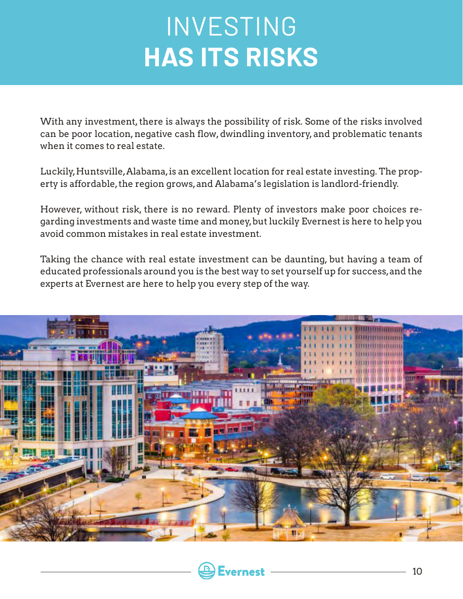## INVESTING **HAS ITS RISKS**

With any investment, there is always the possibility of risk. Some of the risks involved can be poor location, negative cash flow, dwindling inventory, and problematic tenants when it comes to real estate.

Luckily, Huntsville, Alabama, is an excellent location for real estate investing. The property is affordable, the region grows, and Alabama's legislation is landlord-friendly.

However, without risk, there is no reward. Plenty of investors make poor choices regarding investments and waste time and money, but luckily Evernest is here to help you avoid common mistakes in real estate investment.

Taking the chance with real estate investment can be daunting, but having a team of educated professionals around you is the best way to set yourself up for success, and the experts at Evernest are here to help you every step of the way.